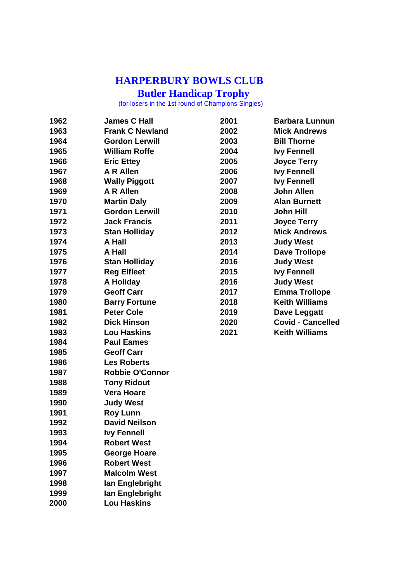## **HARPERBURY BOWLS CLUB**

**Butler Handicap Trophy**

for losers in the 1st round of Champions Singles)

| 1962 | <b>James C Hall</b>    | 2001 | <b>Barbara Lunnun</b>    |
|------|------------------------|------|--------------------------|
| 1963 | <b>Frank C Newland</b> | 2002 | <b>Mick Andrews</b>      |
| 1964 | <b>Gordon Lerwill</b>  | 2003 | <b>Bill Thorne</b>       |
| 1965 | <b>William Roffe</b>   | 2004 | <b>Ivy Fennell</b>       |
| 1966 | <b>Eric Ettey</b>      | 2005 | <b>Joyce Terry</b>       |
| 1967 | <b>A R Allen</b>       | 2006 | <b>Ivy Fennell</b>       |
| 1968 | <b>Wally Piggott</b>   | 2007 | <b>Ivy Fennell</b>       |
| 1969 | A R Allen              | 2008 | <b>John Allen</b>        |
| 1970 | <b>Martin Daly</b>     | 2009 | <b>Alan Burnett</b>      |
| 1971 | <b>Gordon Lerwill</b>  | 2010 | <b>John Hill</b>         |
| 1972 | <b>Jack Francis</b>    | 2011 | <b>Joyce Terry</b>       |
| 1973 | <b>Stan Holliday</b>   | 2012 | <b>Mick Andrews</b>      |
| 1974 | A Hall                 | 2013 | <b>Judy West</b>         |
| 1975 | A Hall                 | 2014 | <b>Dave Trollope</b>     |
| 1976 | <b>Stan Holliday</b>   | 2016 | <b>Judy West</b>         |
| 1977 | <b>Reg Elfleet</b>     | 2015 | <b>Ivy Fennell</b>       |
| 1978 | A Holiday              | 2016 | <b>Judy West</b>         |
| 1979 | <b>Geoff Carr</b>      | 2017 | <b>Emma Trollope</b>     |
| 1980 | <b>Barry Fortune</b>   | 2018 | <b>Keith Williams</b>    |
| 1981 | <b>Peter Cole</b>      | 2019 | Dave Leggatt             |
| 1982 | <b>Dick Hinson</b>     | 2020 | <b>Covid - Cancelled</b> |
| 1983 | <b>Lou Haskins</b>     | 2021 | <b>Keith Williams</b>    |
| 1984 | <b>Paul Eames</b>      |      |                          |
| 1985 | <b>Geoff Carr</b>      |      |                          |
| 1986 | <b>Les Roberts</b>     |      |                          |
| 1987 | <b>Robbie O'Connor</b> |      |                          |
| 1988 | <b>Tony Ridout</b>     |      |                          |
| 1989 | <b>Vera Hoare</b>      |      |                          |
| 1990 | <b>Judy West</b>       |      |                          |
| 1991 | <b>Roy Lunn</b>        |      |                          |
| 1992 | <b>David Neilson</b>   |      |                          |
| 1993 | <b>Ivy Fennell</b>     |      |                          |
| 1994 | <b>Robert West</b>     |      |                          |
| 1995 | <b>George Hoare</b>    |      |                          |
| 1996 | <b>Robert West</b>     |      |                          |
| 1997 | <b>Malcolm West</b>    |      |                          |
| 1998 | lan Englebright        |      |                          |
| 1999 | lan Englebright        |      |                          |
| 2000 | <b>Lou Haskins</b>     |      |                          |